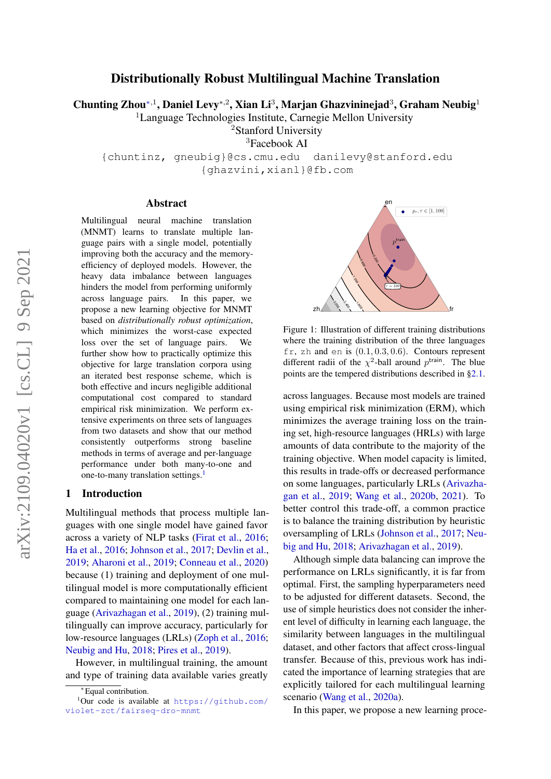# Distributionally Robust Multilingual Machine Translation

Chunting Zhou\*<sup>,1</sup>, Daniel Levy\*<sup>,2</sup>, Xian Li<sup>3</sup>, Marjan Ghazvininejad<sup>3</sup>, Graham Neubig<sup>1</sup>

<sup>1</sup>Language Technologies Institute, Carnegie Mellon University

<sup>2</sup>Stanford University

<sup>3</sup>Facebook AI

{chuntinz, gneubig}@cs.cmu.edu danilevy@stanford.edu {ghazvini,xianl}@fb.com

#### Abstract

Multilingual neural machine translation (MNMT) learns to translate multiple language pairs with a single model, potentially improving both the accuracy and the memoryefficiency of deployed models. However, the heavy data imbalance between languages hinders the model from performing uniformly across language pairs. In this paper, we propose a new learning objective for MNMT based on *distributionally robust optimization*, which minimizes the worst-case expected loss over the set of language pairs. We further show how to practically optimize this objective for large translation corpora using an iterated best response scheme, which is both effective and incurs negligible additional computational cost compared to standard empirical risk minimization. We perform extensive experiments on three sets of languages from two datasets and show that our method consistently outperforms strong baseline methods in terms of average and per-language performance under both many-to-one and one-to-many translation settings.<sup>[1](#page-0-0)</sup>

## 1 Introduction

Multilingual methods that process multiple languages with one single model have gained favor across a variety of NLP tasks [\(Firat et al.,](#page-9-0) [2016;](#page-9-0) [Ha et al.,](#page-9-1) [2016;](#page-9-1) [Johnson et al.,](#page-9-2) [2017;](#page-9-2) [Devlin et al.,](#page-9-3) [2019;](#page-9-3) [Aharoni et al.,](#page-8-0) [2019;](#page-8-0) [Conneau et al.,](#page-8-1) [2020\)](#page-8-1) because (1) training and deployment of one multilingual model is more computationally efficient compared to maintaining one model for each language [\(Arivazhagan et al.,](#page-8-2) [2019\)](#page-8-2), (2) training multilingually can improve accuracy, particularly for low-resource languages (LRLs) [\(Zoph et al.,](#page-10-0) [2016;](#page-10-0) [Neubig and Hu,](#page-9-4) [2018;](#page-9-4) [Pires et al.,](#page-9-5) [2019\)](#page-9-5).

However, in multilingual training, the amount and type of training data available varies greatly



Figure 1: Illustration of different training distributions where the training distribution of the three languages fr, zh and en is  $(0.1, 0.3, 0.6)$ . Contours represent different radii of the  $\chi^2$ -ball around  $p^{\text{train}}$ . The blue points are the tempered distributions described in [§2.1.](#page-1-0)

across languages. Because most models are trained using empirical risk minimization (ERM), which minimizes the average training loss on the training set, high-resource languages (HRLs) with large amounts of data contribute to the majority of the training objective. When model capacity is limited, this results in trade-offs or decreased performance on some languages, particularly LRLs [\(Arivazha](#page-8-2)[gan et al.,](#page-8-2) [2019;](#page-8-2) [Wang et al.,](#page-10-1) [2020b,](#page-10-1) [2021\)](#page-10-2). To better control this trade-off, a common practice is to balance the training distribution by heuristic oversampling of LRLs [\(Johnson et al.,](#page-9-2) [2017;](#page-9-2) [Neu](#page-9-4)[big and Hu,](#page-9-4) [2018;](#page-9-4) [Arivazhagan et al.,](#page-8-2) [2019\)](#page-8-2).

Although simple data balancing can improve the performance on LRLs significantly, it is far from optimal. First, the sampling hyperparameters need to be adjusted for different datasets. Second, the use of simple heuristics does not consider the inherent level of difficulty in learning each language, the similarity between languages in the multilingual dataset, and other factors that affect cross-lingual transfer. Because of this, previous work has indicated the importance of learning strategies that are explicitly tailored for each multilingual learning scenario [\(Wang et al.,](#page-10-3) [2020a\)](#page-10-3).

In this paper, we propose a new learning proce-

<span id="page-0-0"></span><sup>∗</sup> Equal contribution.

<sup>&</sup>lt;sup>1</sup>Our code is available at [https://github.com/](https://github.com/violet-zct/fairseq-dro-mnmt) [violet-zct/fairseq-dro-mnmt](https://github.com/violet-zct/fairseq-dro-mnmt)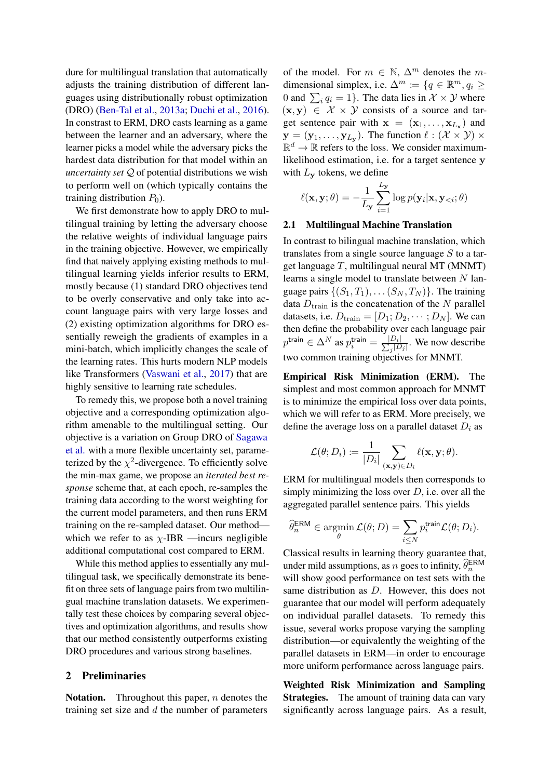dure for multilingual translation that automatically adjusts the training distribution of different languages using distributionally robust optimization (DRO) [\(Ben-Tal et al.,](#page-8-3) [2013a;](#page-8-3) [Duchi et al.,](#page-9-6) [2016\)](#page-9-6). In constrast to ERM, DRO casts learning as a game between the learner and an adversary, where the learner picks a model while the adversary picks the hardest data distribution for that model within an *uncertainty set* Q of potential distributions we wish to perform well on (which typically contains the training distribution  $P_0$ ).

We first demonstrate how to apply DRO to multilingual training by letting the adversary choose the relative weights of individual language pairs in the training objective. However, we empirically find that naively applying existing methods to multilingual learning yields inferior results to ERM, mostly because (1) standard DRO objectives tend to be overly conservative and only take into account language pairs with very large losses and (2) existing optimization algorithms for DRO essentially reweigh the gradients of examples in a mini-batch, which implicitly changes the scale of the learning rates. This hurts modern NLP models like Transformers [\(Vaswani et al.,](#page-10-4) [2017\)](#page-10-4) that are highly sensitive to learning rate schedules.

To remedy this, we propose both a novel training objective and a corresponding optimization algorithm amenable to the multilingual setting. Our objective is a variation on Group DRO of [Sagawa](#page-10-5) [et al.](#page-10-5) with a more flexible uncertainty set, parameterized by the  $\chi^2$ -divergence. To efficiently solve the min-max game, we propose an *iterated best response* scheme that, at each epoch, re-samples the training data according to the worst weighting for the current model parameters, and then runs ERM training on the re-sampled dataset. Our method which we refer to as  $\chi$ -IBR —incurs negligible additional computational cost compared to ERM.

While this method applies to essentially any multilingual task, we specifically demonstrate its benefit on three sets of language pairs from two multilingual machine translation datasets. We experimentally test these choices by comparing several objectives and optimization algorithms, and results show that our method consistently outperforms existing DRO procedures and various strong baselines.

## <span id="page-1-2"></span>2 Preliminaries

**Notation.** Throughout this paper,  $n$  denotes the training set size and  $d$  the number of parameters of the model. For  $m \in \mathbb{N}$ ,  $\Delta^m$  denotes the mdimensional simplex, i.e.  $\Delta^m := \{q \in \mathbb{R}^m, q_i \geq 0\}$ 0 and  $\sum_i q_i = 1$ . The data lies in  $\mathcal{X} \times \mathcal{Y}$  where  $(x, y) \in \mathcal{X} \times \mathcal{Y}$  consists of a source and target sentence pair with  $\mathbf{x} = (\mathbf{x}_1, \dots, \mathbf{x}_{L_{\mathbf{x}}})$  and  $\mathbf{y} = (\mathbf{y}_1, \dots, \mathbf{y}_{L_{\mathbf{y}}}).$  The function  $\ell : (\mathcal{X} \times \mathcal{Y}) \times$  $\mathbb{R}^d \to \mathbb{R}$  refers to the loss. We consider maximumlikelihood estimation, i.e. for a target sentence y with  $L_{\mathbf{v}}$  tokens, we define

<span id="page-1-1"></span>
$$
\ell(\mathbf{x}, \mathbf{y}; \theta) = -\frac{1}{L_{\mathbf{y}}} \sum_{i=1}^{L_{\mathbf{y}}} \log p(\mathbf{y}_i | \mathbf{x}, \mathbf{y}_{< i}; \theta)
$$

#### <span id="page-1-0"></span>2.1 Multilingual Machine Translation

In contrast to bilingual machine translation, which translates from a single source language  $S$  to a target language  $T$ , multilingual neural MT (MNMT) learns a single model to translate between  $N$  language pairs  $\{(S_1, T_1), \ldots (S_N, T_N)\}\.$  The training data  $D_{\text{train}}$  is the concatenation of the N parallel datasets, i.e.  $D_{\text{train}} = [D_1; D_2, \cdots; D_N]$ . We can then define the probability over each language pair  $p^{\mathsf{train}} \in \Delta^N$  as  $p^{\mathsf{train}}_i = \frac{|D_i|}{\sum_{j} |D_j|}$  $\frac{D_i}{\sqrt{D_j}}$ . We now describe two common training objectives for MNMT.

Empirical Risk Minimization (ERM). The simplest and most common approach for MNMT is to minimize the empirical loss over data points, which we will refer to as ERM. More precisely, we define the average loss on a parallel dataset  $D_i$  as

$$
\mathcal{L}(\theta; D_i) \coloneqq \frac{1}{|D_i|} \sum_{(\mathbf{x}, \mathbf{y}) \in D_i} \ell(\mathbf{x}, \mathbf{y}; \theta).
$$

ERM for multilingual models then corresponds to simply minimizing the loss over  $D$ , i.e. over all the aggregated parallel sentence pairs. This yields

$$
\widehat{\theta}_n^{\text{ERM}} \in \operatorname*{argmin}_{\theta} \mathcal{L}(\theta; D) = \sum_{i \leq N} p_i^{\text{train}} \mathcal{L}(\theta; D_i).
$$

Classical results in learning theory guarantee that, under mild assumptions, as n goes to infinity,  $\widehat{\theta}_n^{\text{ERM}}$ will show good performance on test sets with the same distribution as D. However, this does not guarantee that our model will perform adequately on individual parallel datasets. To remedy this issue, several works propose varying the sampling distribution—or equivalently the weighting of the parallel datasets in ERM—in order to encourage more uniform performance across language pairs.

Weighted Risk Minimization and Sampling Strategies. The amount of training data can vary significantly across language pairs. As a result,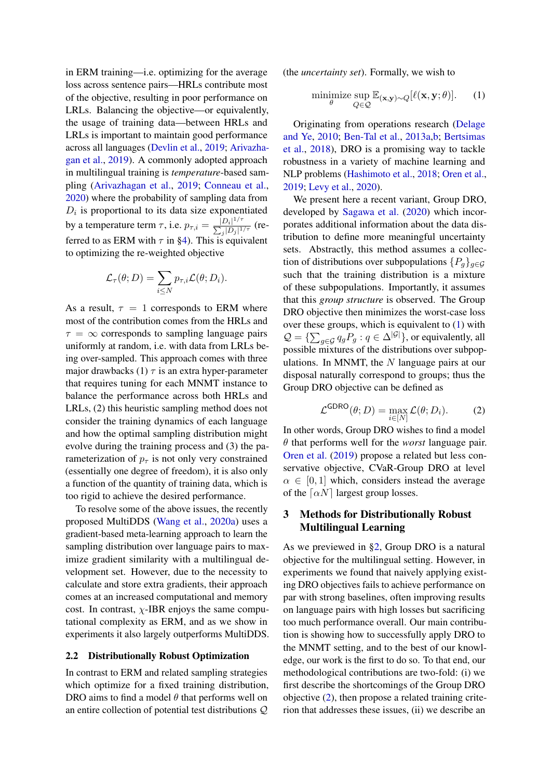in ERM training—i.e. optimizing for the average loss across sentence pairs—HRLs contribute most of the objective, resulting in poor performance on LRLs. Balancing the objective—or equivalently, the usage of training data—between HRLs and LRLs is important to maintain good performance across all languages [\(Devlin et al.,](#page-9-3) [2019;](#page-9-3) [Arivazha](#page-8-2)[gan et al.,](#page-8-2) [2019\)](#page-8-2). A commonly adopted approach in multilingual training is *temperature*-based sampling [\(Arivazhagan et al.,](#page-8-2) [2019;](#page-8-2) [Conneau et al.,](#page-8-1) [2020\)](#page-8-1) where the probability of sampling data from  $D_i$  is proportional to its data size exponentiated by a temperature term  $\tau$ , i.e.  $p_{\tau,i} = \frac{|D_i|^{1/\tau}}{\sum |D_i|^{1/\tau}}$  $\frac{|D_i|^{2/\tau}}{\sum_j |D_j|^{1/\tau}}$  (referred to as ERM with  $\tau$  in [§4\)](#page-4-0). This is equivalent to optimizing the re-weighted objective

$$
\mathcal{L}_{\tau}(\theta; D) = \sum_{i \leq N} p_{\tau,i} \mathcal{L}(\theta; D_i).
$$

As a result,  $\tau = 1$  corresponds to ERM where most of the contribution comes from the HRLs and  $\tau = \infty$  corresponds to sampling language pairs uniformly at random, i.e. with data from LRLs being over-sampled. This approach comes with three major drawbacks (1)  $\tau$  is an extra hyper-parameter that requires tuning for each MNMT instance to balance the performance across both HRLs and LRLs, (2) this heuristic sampling method does not consider the training dynamics of each language and how the optimal sampling distribution might evolve during the training process and (3) the parameterization of  $p_{\tau}$  is not only very constrained (essentially one degree of freedom), it is also only a function of the quantity of training data, which is too rigid to achieve the desired performance.

To resolve some of the above issues, the recently proposed MultiDDS [\(Wang et al.,](#page-10-3) [2020a\)](#page-10-3) uses a gradient-based meta-learning approach to learn the sampling distribution over language pairs to maximize gradient similarity with a multilingual development set. However, due to the necessity to calculate and store extra gradients, their approach comes at an increased computational and memory cost. In contrast,  $\chi$ -IBR enjoys the same computational complexity as ERM, and as we show in experiments it also largely outperforms MultiDDS.

## 2.2 Distributionally Robust Optimization

In contrast to ERM and related sampling strategies which optimize for a fixed training distribution. DRO aims to find a model  $\theta$  that performs well on an entire collection of potential test distributions Q (the *uncertainty set*). Formally, we wish to

$$
\underset{\theta}{\text{minimize}} \underset{Q \in \mathcal{Q}}{\text{sup}} \mathbb{E}_{(\mathbf{x}, \mathbf{y}) \sim Q} [\ell(\mathbf{x}, \mathbf{y}; \theta)]. \tag{1}
$$

Originating from operations research [\(Delage](#page-9-7) [and Ye,](#page-9-7) [2010;](#page-9-7) [Ben-Tal et al.,](#page-8-3) [2013a](#page-8-3)[,b;](#page-8-4) [Bertsimas](#page-8-5) [et al.,](#page-8-5) [2018\)](#page-8-5), DRO is a promising way to tackle robustness in a variety of machine learning and NLP problems [\(Hashimoto et al.,](#page-9-8) [2018;](#page-9-8) [Oren et al.,](#page-9-9) [2019;](#page-9-9) [Levy et al.,](#page-9-10) [2020\)](#page-9-10).

We present here a recent variant, Group DRO, developed by [Sagawa et al.](#page-10-5) [\(2020\)](#page-10-5) which incorporates additional information about the data distribution to define more meaningful uncertainty sets. Abstractly, this method assumes a collection of distributions over subpopulations  $\{P_g\}_{g\in\mathcal{G}}$ such that the training distribution is a mixture of these subpopulations. Importantly, it assumes that this *group structure* is observed. The Group DRO objective then minimizes the worst-case loss over these groups, which is equivalent to [\(1\)](#page-1-1) with  $\mathcal{Q} = {\sum_{g \in \mathcal{G}} q_g P_g : q \in \Delta^{|\mathcal{G}|}}$ , or equivalently, all possible mixtures of the distributions over subpopulations. In MNMT, the  $N$  language pairs at our disposal naturally correspond to groups; thus the Group DRO objective can be defined as

<span id="page-2-0"></span>
$$
\mathcal{L}^{\text{GDRO}}(\theta; D) = \max_{i \in [N]} \mathcal{L}(\theta; D_i). \tag{2}
$$

In other words, Group DRO wishes to find a model θ that performs well for the *worst* language pair. [Oren et al.](#page-9-9) [\(2019\)](#page-9-9) propose a related but less conservative objective, CVaR-Group DRO at level  $\alpha \in [0, 1]$  which, considers instead the average of the  $\lceil \alpha N \rceil$  largest group losses.

# 3 Methods for Distributionally Robust Multilingual Learning

As we previewed in [§2,](#page-1-2) Group DRO is a natural objective for the multilingual setting. However, in experiments we found that naively applying existing DRO objectives fails to achieve performance on par with strong baselines, often improving results on language pairs with high losses but sacrificing too much performance overall. Our main contribution is showing how to successfully apply DRO to the MNMT setting, and to the best of our knowledge, our work is the first to do so. To that end, our methodological contributions are two-fold: (i) we first describe the shortcomings of the Group DRO objective [\(2\)](#page-2-0), then propose a related training criterion that addresses these issues, (ii) we describe an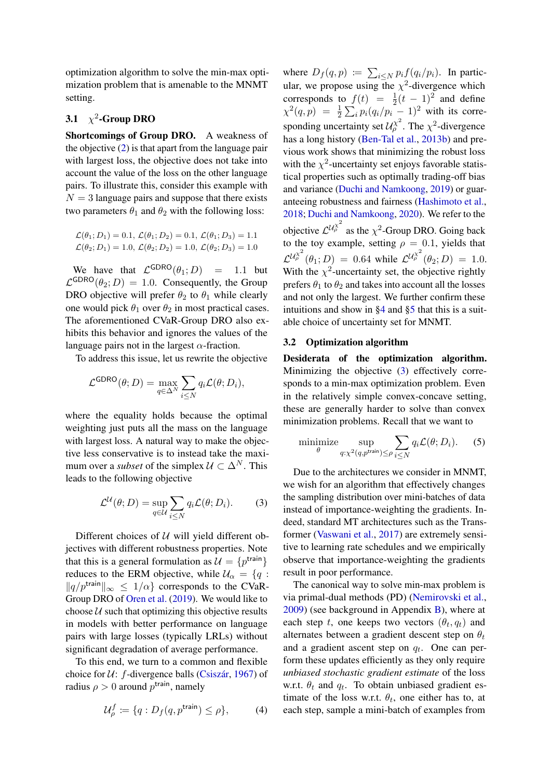optimization algorithm to solve the min-max optimization problem that is amenable to the MNMT setting.

# 3.1  $\chi^2$ -Group DRO

Shortcomings of Group DRO. A weakness of the objective  $(2)$  is that apart from the language pair with largest loss, the objective does not take into account the value of the loss on the other language pairs. To illustrate this, consider this example with  $N = 3$  language pairs and suppose that there exists two parameters  $\theta_1$  and  $\theta_2$  with the following loss:

$$
\mathcal{L}(\theta_1; D_1) = 0.1, \mathcal{L}(\theta_1; D_2) = 0.1, \mathcal{L}(\theta_1; D_3) = 1.1 \mathcal{L}(\theta_2; D_1) = 1.0, \mathcal{L}(\theta_2; D_2) = 1.0, \mathcal{L}(\theta_2; D_3) = 1.0
$$

We have that  $\mathcal{L}^{GDRO}(\theta_1; D) = 1.1$  but  $\mathcal{L}^{\text{GDRO}}(\theta_2;D) = 1.0$ . Consequently, the Group DRO objective will prefer  $\theta_2$  to  $\theta_1$  while clearly one would pick  $\theta_1$  over  $\theta_2$  in most practical cases. The aforementioned CVaR-Group DRO also exhibits this behavior and ignores the values of the language pairs not in the largest  $\alpha$ -fraction.

To address this issue, let us rewrite the objective

$$
\mathcal{L}^{\text{GDRO}}(\theta; D) = \max_{q \in \Delta^N} \sum_{i \leq N} q_i \mathcal{L}(\theta; D_i),
$$

where the equality holds because the optimal weighting just puts all the mass on the language with largest loss. A natural way to make the objective less conservative is to instead take the maximum over a *subset* of the simplex  $U \subset \Delta^N$ . This leads to the following objective

$$
\mathcal{L}^{\mathcal{U}}(\theta; D) = \sup_{q \in \mathcal{U}} \sum_{i \le N} q_i \mathcal{L}(\theta; D_i). \tag{3}
$$

Different choices of  $U$  will yield different objectives with different robustness properties. Note that this is a general formulation as  $\mathcal{U} = \{p^{\text{train}}\}$ reduces to the ERM objective, while  $U_{\alpha} = \{q :$  $\|q/p^{\text{train}}\|_{\infty} \leq 1/\alpha$  corresponds to the CVaR-Group DRO of [Oren et al.](#page-9-9) [\(2019\)](#page-9-9). We would like to choose  $U$  such that optimizing this objective results in models with better performance on language pairs with large losses (typically LRLs) without significant degradation of average performance.

To this end, we turn to a common and flexible choice for  $U: f$ -divergence balls [\(Csiszár,](#page-8-6) [1967\)](#page-8-6) of radius  $\rho > 0$  around  $p^{\text{train}}$ , namely

$$
\mathcal{U}_{\rho}^{f} \coloneqq \{q : D_{f}(q, p^{\text{train}}) \leq \rho\},\tag{4}
$$

where  $D_f(q, p) := \sum_{i \leq N} p_i f(q_i/p_i)$ . In particular, we propose using the  $\chi^2$ -divergence which corresponds to  $f(t) = \frac{1}{2}(t-1)^2$  and define  $\chi^2(q,p) = \frac{1}{2} \sum_i p_i (q_i/p_i - 1)^2$  with its corresponding uncertainty set  $\mathcal{U}_{\rho}^{\chi^2}$ . The  $\chi^2$ -divergence has a long history [\(Ben-Tal et al.,](#page-8-4) [2013b\)](#page-8-4) and previous work shows that minimizing the robust loss with the  $\chi^2$ -uncertainty set enjoys favorable statistical properties such as optimally trading-off bias and variance [\(Duchi and Namkoong,](#page-9-11) [2019\)](#page-9-11) or guaranteeing robustness and fairness [\(Hashimoto et al.,](#page-9-8) [2018;](#page-9-8) [Duchi and Namkoong,](#page-9-12) [2020\)](#page-9-12). We refer to the objective  $\mathcal{L}^{U_{\rho}^{\chi^2}}$  as the  $\chi^2$ -Group DRO. Going back to the toy example, setting  $\rho = 0.1$ , yields that  $\mathcal{L}^{U_{\rho}^{\chi^2}}(\theta_1; D) = 0.64$  while  $\mathcal{L}^{U_{\rho}^{\chi^2}}(\theta_2; D) = 1.0$ . With the  $\chi^2$ -uncertainty set, the objective rightly prefers  $\theta_1$  to  $\theta_2$  and takes into account all the losses and not only the largest. We further confirm these intuitions and show in [§4](#page-4-0) and [§5](#page-6-0) that this is a suitable choice of uncertainty set for MNMT.

### <span id="page-3-1"></span>3.2 Optimization algorithm

Desiderata of the optimization algorithm. Minimizing the objective [\(3\)](#page-3-0) effectively corresponds to a min-max optimization problem. Even in the relatively simple convex-concave setting, these are generally harder to solve than convex minimization problems. Recall that we want to

minimize 
$$
\sup_{q:\chi^2(q,p^{\text{train}})\leq\rho} \sum_{i\leq N} q_i \mathcal{L}(\theta; D_i)
$$
. (5)

<span id="page-3-0"></span>Due to the architectures we consider in MNMT, we wish for an algorithm that effectively changes the sampling distribution over mini-batches of data instead of importance-weighting the gradients. Indeed, standard MT architectures such as the Transformer [\(Vaswani et al.,](#page-10-4) [2017\)](#page-10-4) are extremely sensitive to learning rate schedules and we empirically observe that importance-weighting the gradients result in poor performance.

The canonical way to solve min-max problem is via primal-dual methods (PD) [\(Nemirovski et al.,](#page-9-13) [2009\)](#page-9-13) (see background in Appendix [B\)](#page-11-0), where at each step t, one keeps two vectors  $(\theta_t, q_t)$  and alternates between a gradient descent step on  $\theta_t$ and a gradient ascent step on  $q_t$ . One can perform these updates efficiently as they only require *unbiased stochastic gradient estimate* of the loss w.r.t.  $\theta_t$  and  $q_t$ . To obtain unbiased gradient estimate of the loss w.r.t.  $\theta_t$ , one either has to, at each step, sample a mini-batch of examples from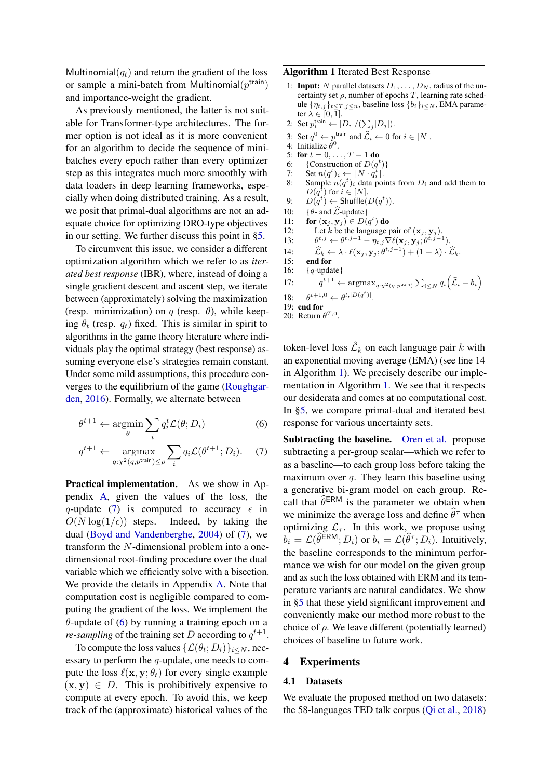Multinomial $(q_t)$  and return the gradient of the loss or sample a mini-batch from Multinomial $(p^{\text{train}})$ and importance-weight the gradient.

As previously mentioned, the latter is not suitable for Transformer-type architectures. The former option is not ideal as it is more convenient for an algorithm to decide the sequence of minibatches every epoch rather than every optimizer step as this integrates much more smoothly with data loaders in deep learning frameworks, especially when doing distributed training. As a result, we posit that primal-dual algorithms are not an adequate choice for optimizing DRO-type objectives in our setting. We further discuss this point in [§5.](#page-6-0)

To circumvent this issue, we consider a different optimization algorithm which we refer to as *iterated best response* (IBR), where, instead of doing a single gradient descent and ascent step, we iterate between (approximately) solving the maximization (resp. minimization) on q (resp.  $\theta$ ), while keeping  $\theta_t$  (resp.  $q_t$ ) fixed. This is similar in spirit to algorithms in the game theory literature where individuals play the optimal strategy (best response) assuming everyone else's strategies remain constant. Under some mild assumptions, this procedure converges to the equilibrium of the game [\(Roughgar](#page-9-14)[den,](#page-9-14) [2016\)](#page-9-14). Formally, we alternate between

$$
\theta^{t+1} \leftarrow \operatorname*{argmin}_{\theta} \sum_{i} q_i^t \mathcal{L}(\theta; D_i) \tag{6}
$$

$$
q^{t+1} \leftarrow \underset{q:\chi^2(q,p^{\text{train}}) \leq \rho}{\operatorname{argmax}} \sum_{i} q_i \mathcal{L}(\theta^{t+1}; D_i). \quad (7)
$$

Practical implementation. As we show in Appendix [A,](#page-11-1) given the values of the loss, the q-update [\(7\)](#page-4-1) is computed to accuracy  $\epsilon$  in  $O(N \log(1/\epsilon))$  steps. Indeed, by taking the dual [\(Boyd and Vandenberghe,](#page-8-7) [2004\)](#page-8-7) of [\(7\)](#page-4-1), we transform the N-dimensional problem into a onedimensional root-finding procedure over the dual variable which we efficiently solve with a bisection. We provide the details in Appendix [A.](#page-11-1) Note that computation cost is negligible compared to computing the gradient of the loss. We implement the  $\theta$ -update of [\(6\)](#page-4-2) by running a training epoch on a *re-sampling* of the training set D according to  $q^{t+1}$ .

To compute the loss values  $\{\mathcal{L}(\theta_t; D_i)\}_{i \leq N}$ , necessary to perform the q-update, one needs to compute the loss  $\ell(\mathbf{x}, \mathbf{y}; \theta_t)$  for every single example  $(x, y) \in D$ . This is prohibitively expensive to compute at every epoch. To avoid this, we keep track of the (approximate) historical values of the

#### <span id="page-4-3"></span>Algorithm 1 Iterated Best Response

- 1: **Input:** N parallel datasets  $D_1, \ldots, D_N$ , radius of the uncertainty set  $\rho$ , number of epochs T, learning rate schedule  $\{\eta_{t,j}\}_{t\leq T, j\leq n}$ , baseline loss  $\{b_i\}_{i\leq N}$ , EMA parameter  $\lambda \in [0, 1]$ .
- 2: Set  $p_i^{\text{train}} \leftarrow |D_i|/(\sum_j |D_j|)$ .
- 3: Set  $q^0 \leftarrow p^{\text{train}}$  and  $\widehat{\mathcal{L}}_i \leftarrow 0$  for  $i \in [N]$ .
- 4: Initialize  $\hat{\theta}^0$ .
- 5: for  $t = 0, ..., T 1$  do
- 6: {Construction of  $D(q^t)$ }
- 7: Set  $n(q^t)_i \leftarrow \lceil N \cdot q_i^{\overline{t}} \rceil$ .
- 8: Sample  $n(q^t)_i$  data points from  $D_i$  and add them to  $D(q^{\tilde{t}})$  for  $i \in [N]$ .
- 9:  $D(q^t) \leftarrow$  Shuffle $(D(q^t))$ .
- 10: { $\theta$  and  $\hat{\mathcal{L}}$ -update}<br>11: **for** (**x**<sub>i</sub>, **y**<sub>i</sub>)  $\in$  *D*(
- 11: for  $(\mathbf{x}_j, \mathbf{y}_j) \in D(q^t)$  do 12: Let k be the language pair of  $(\mathbf{x}_j, \mathbf{y}_j)$ .
- 13:  $t^{t,j} \leftarrow \theta^{t,j-1} - \eta_{t,j} \nabla \ell(\mathbf{x}_j, \mathbf{y}_j ; \theta^{t,j-1}).$
- 14:  $\widehat{\mathcal{L}}_k \leftarrow \lambda \cdot \ell(\mathbf{x}_j, \mathbf{y}_j; \theta^{t, j-1}) + (1 \lambda) \cdot \widehat{\mathcal{L}}_k.$
- 15: end for
- 16: {q-update}
- $17:$  $t^{t+1} \leftarrow \operatorname{argmax}_{q: \chi^2(q, p^{\mathsf{train}})} \sum_{i \leq N} q_i \left( \widehat{\mathcal{L}}_i - b_i \right)$
- 18:  $t+1,0 \leftarrow \theta^{t,|D(q^t)|}.$
- 19: end for

20: Return 
$$
\theta^{T,0}
$$
.

token-level loss  $\mathcal{L}_k$  on each language pair k with an exponential moving average (EMA) (see line 14 in Algorithm [1\)](#page-4-3). We precisely describe our implementation in Algorithm [1.](#page-4-3) We see that it respects our desiderata and comes at no computational cost. In [§5,](#page-6-0) we compare primal-dual and iterated best response for various uncertainty sets.

<span id="page-4-2"></span><span id="page-4-1"></span>Subtracting the baseline. [Oren et al.](#page-9-9) propose subtracting a per-group scalar—which we refer to as a baseline—to each group loss before taking the maximum over  $q$ . They learn this baseline using a generative bi-gram model on each group. Recall that  $\hat{\theta}^{ERM}$  is the parameter we obtain when we minimize the average loss and define  $\hat{\theta}^{\tau}$  when optimizing  $\mathcal{L}_{\tau}$ . In this work, we propose using  $b_i = \mathcal{L}(\widehat{\theta}^{\text{ERM}}; D_i)$  or  $b_i = \mathcal{L}(\widehat{\theta}^{\tau}; D_i)$ . Intuitively, the baseline corresponds to the minimum performance we wish for our model on the given group and as such the loss obtained with ERM and its temperature variants are natural candidates. We show in [§5](#page-6-0) that these yield significant improvement and conveniently make our method more robust to the choice of  $\rho$ . We leave different (potentially learned) choices of baseline to future work.

#### <span id="page-4-0"></span>4 Experiments

#### 4.1 Datasets

We evaluate the proposed method on two datasets: the 58-languages TED talk corpus [\(Qi et al.,](#page-9-15) [2018\)](#page-9-15)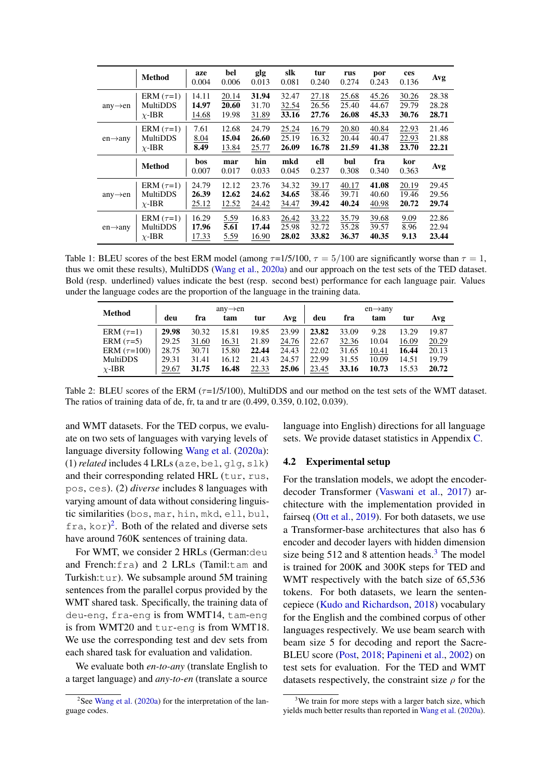<span id="page-5-2"></span>

|                      | <b>Method</b>   | aze<br>0.004 | bel<br>0.006 | glg<br>0.013 | slk<br>0.081 | tur<br>0.240 | rus<br>0.274 | por<br>0.243 | ces<br>0.136 | Avg   |
|----------------------|-----------------|--------------|--------------|--------------|--------------|--------------|--------------|--------------|--------------|-------|
| $any \rightarrow en$ | ERM $(\tau=1)$  | 14.11        | 20.14        | 31.94        | 32.47        | 27.18        | 25.68        | 45.26        | 30.26        | 28.38 |
|                      | <b>MultiDDS</b> | 14.97        | 20.60        | 31.70        | 32.54        | 26.56        | 25.40        | 44.67        | 29.79        | 28.28 |
|                      | $\chi$ -IBR     | 14.68        | 19.98        | 31.89        | 33.16        | 27.76        | 26.08        | 45.33        | 30.76        | 28.71 |
| $en \rightarrow anv$ | ERM $(\tau=1)$  | 7.61         | 12.68        | 24.79        | 25.24        | 16.79        | 20.80        | 40.84        | 22.93        | 21.46 |
|                      | <b>MultiDDS</b> | 8.04         | 15.04        | 26.60        | 25.19        | 16.32        | 20.44        | 40.47        | 22.93        | 21.88 |
|                      | $\chi$ -IBR     | 8.49         | 13.84        | 25.77        | 26.09        | 16.78        | 21.59        | 41.38        | 23.70        | 22.21 |
|                      | <b>Method</b>   | bos<br>0.007 | mar<br>0.017 | hin<br>0.033 | mkd<br>0.045 | ell<br>0.237 | bul<br>0.308 | fra<br>0.340 | kor<br>0.363 | Avg   |
| $any \rightarrow en$ | ERM $(\tau=1)$  | 24.79        | 12.12        | 23.76        | 34.32        | 39.17        | 40.17        | 41.08        | 20.19        | 29.45 |
|                      | MultiDDS        | 26.39        | 12.62        | 24.62        | 34.65        | 38.46        | 39.71        | 40.60        | 19.46        | 29.56 |
|                      | $\chi$ -IBR     | 25.12        | 12.52        | 24.42        | 34.47        | 39.42        | 40.24        | 40.98        | 20.72        | 29.74 |
| $en \rightarrow any$ | ERM $(\tau=1)$  | 16.29        | 5.59         | 16.83        | 26.42        | 33.22        | 35.79        | 39.68        | 9.09         | 22.86 |
|                      | MultiDDS        | 17.96        | 5.61         | 17.44        | 25.98        | 32.72        | 35.28        | 39.57        | 8.96         | 22.94 |
|                      | $\chi$ -IBR     | 17.33        | 5.59         | 16.90        | 28.02        | 33.82        | 36.37        | 40.35        | 9.13         | 23.44 |

Table 1: BLEU scores of the best ERM model (among  $\tau = 1/5/100$ ,  $\tau = 5/100$  are significantly worse than  $\tau = 1$ , thus we omit these results), MultiDDS [\(Wang et al.,](#page-10-3) [2020a\)](#page-10-3) and our approach on the test sets of the TED dataset. Bold (resp. underlined) values indicate the best (resp. second best) performance for each language pair. Values under the language codes are the proportion of the language in the training data.

<span id="page-5-3"></span>

|                  | $any \rightarrow en$ |       |       |       |       | $en \rightarrow$ any |       |       |       |       |
|------------------|----------------------|-------|-------|-------|-------|----------------------|-------|-------|-------|-------|
| <b>Method</b>    | deu                  | fra   | tam   | tur   | Avg   | deu                  | fra   | tam   | tur   | Avg   |
| ERM $(\tau=1)$   | 29.98                | 30.32 | 15.81 | 19.85 | 23.99 | 23.82                | 33.09 | 9.28  | 13.29 | 19.87 |
| ERM $(\tau=5)$   | 29.25                | 31.60 | 16.31 | 21.89 | 24.76 | 22.67                | 32.36 | 10.04 | 16.09 | 20.29 |
| ERM $(\tau=100)$ | 28.75                | 30.71 | 15.80 | 22.44 | 24.43 | 22.02                | 31.65 | 10.41 | 16.44 | 20.13 |
| <b>MultiDDS</b>  | 29.31                | 31.41 | 16.12 | 21.43 | 24.57 | 22.99                | 31.55 | 10.09 | 14.51 | 19.79 |
| $\chi$ -IBR      | 29.67                | 31.75 | 16.48 | 22.33 | 25.06 | 23.45                | 33.16 | 10.73 | 15.53 | 20.72 |

Table 2: BLEU scores of the ERM ( $\tau$ =1/5/100), MultiDDS and our method on the test sets of the WMT dataset. The ratios of training data of de, fr, ta and tr are (0.499, 0.359, 0.102, 0.039).

and WMT datasets. For the TED corpus, we evaluate on two sets of languages with varying levels of language diversity following [Wang et al.](#page-10-3) [\(2020a\)](#page-10-3):  $(1)$  *related* includes  $4$  LRLs (aze, bel, qlq, slk) and their corresponding related HRL (tur, rus, pos, ces). (2) *diverse* includes 8 languages with varying amount of data without considering linguistic similarities (bos, mar, hin, mkd, ell, bul, fra, kor) [2](#page-5-0) . Both of the related and diverse sets have around 760K sentences of training data.

For WMT, we consider 2 HRLs (German:deu and French:fra) and 2 LRLs (Tamil:tam and Turkish:tur). We subsample around 5M training sentences from the parallel corpus provided by the WMT shared task. Specifically, the training data of deu-eng, fra-eng is from WMT14, tam-eng is from WMT20 and tur-eng is from WMT18. We use the corresponding test and dev sets from each shared task for evaluation and validation.

We evaluate both *en-to-any* (translate English to a target language) and *any-to-en* (translate a source language into English) directions for all language sets. We provide dataset statistics in Appendix [C.](#page-13-0)

### 4.2 Experimental setup

For the translation models, we adopt the encoderdecoder Transformer [\(Vaswani et al.,](#page-10-4) [2017\)](#page-10-4) architecture with the implementation provided in fairseq [\(Ott et al.,](#page-9-16) [2019\)](#page-9-16). For both datasets, we use a Transformer-base architectures that also has 6 encoder and decoder layers with hidden dimension size being  $512$  and 8 attention heads.<sup>[3](#page-5-1)</sup> The model is trained for 200K and 300K steps for TED and WMT respectively with the batch size of 65,536 tokens. For both datasets, we learn the sentencepiece [\(Kudo and Richardson,](#page-9-17) [2018\)](#page-9-17) vocabulary for the English and the combined corpus of other languages respectively. We use beam search with beam size 5 for decoding and report the Sacre-BLEU score [\(Post,](#page-9-18) [2018;](#page-9-18) [Papineni et al.,](#page-9-19) [2002\)](#page-9-19) on test sets for evaluation. For the TED and WMT datasets respectively, the constraint size  $\rho$  for the

<span id="page-5-0"></span><sup>&</sup>lt;sup>2</sup>See [Wang et al.](#page-10-3) [\(2020a\)](#page-10-3) for the interpretation of the language codes.

<span id="page-5-1"></span><sup>&</sup>lt;sup>3</sup>We train for more steps with a larger batch size, which yields much better results than reported in [Wang et al.](#page-10-3) [\(2020a\)](#page-10-3).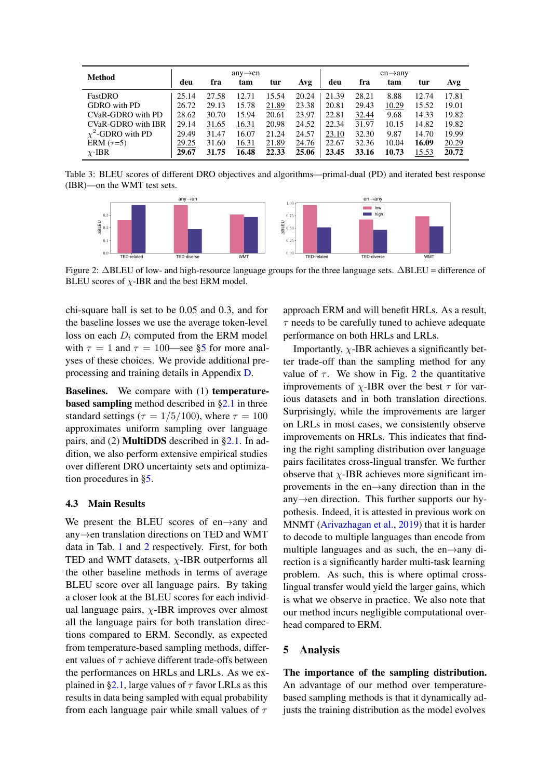| Method                 |       |       | $any \rightarrow en$ |       |       |       |       | $en \rightarrow$ any |       |       |
|------------------------|-------|-------|----------------------|-------|-------|-------|-------|----------------------|-------|-------|
|                        | deu   | fra   | tam                  | tur   | Avg   | deu   | fra   | tam                  | tur   | Avg   |
| FastDRO                | 25.14 | 27.58 | 12.71                | 15.54 | 20.24 | 21.39 | 28.21 | 8.88                 | 12.74 | 17.81 |
| GDRO with PD           | 26.72 | 29.13 | 15.78                | 21.89 | 23.38 | 20.81 | 29.43 | 10.29                | 15.52 | 19.01 |
| CVaR-GDRO with PD      | 28.62 | 30.70 | 15.94                | 20.61 | 23.97 | 22.81 | 32.44 | 9.68                 | 14.33 | 19.82 |
| CVaR-GDRO with IBR     | 29.14 | 31.65 | 16.31                | 20.98 | 24.52 | 22.34 | 31.97 | 10.15                | 14.82 | 19.82 |
| $\chi^2$ -GDRO with PD | 29.49 | 31.47 | 16.07                | 21.24 | 24.57 | 23.10 | 32.30 | 9.87                 | 14.70 | 19.99 |
| ERM $(\tau=5)$         | 29.25 | 31.60 | 16.31                | 21.89 | 24.76 | 22.67 | 32.36 | 10.04                | 16.09 | 20.29 |
| $\chi$ -IBR            | 29.67 | 31.75 | 16.48                | 22.33 | 25.06 | 23.45 | 33.16 | 10.73                | 15.53 | 20.72 |

<span id="page-6-1"></span>Table 3: BLEU scores of different DRO objectives and algorithms—primal-dual (PD) and iterated best response (IBR)—on the WMT test sets.



Figure 2: ∆BLEU of low- and high-resource language groups for the three language sets. ∆BLEU = difference of BLEU scores of  $\chi$ -IBR and the best ERM model.

chi-square ball is set to be 0.05 and 0.3, and for the baseline losses we use the average token-level loss on each  $D_i$  computed from the ERM model with  $\tau = 1$  and  $\tau = 100$ —see [§5](#page-6-0) for more analyses of these choices. We provide additional preprocessing and training details in Appendix [D.](#page-13-1)

Baselines. We compare with (1) temperaturebased sampling method described in [§2.1](#page-1-0) in three standard settings ( $\tau = 1/5/100$ ), where  $\tau = 100$ approximates uniform sampling over language pairs, and (2) MultiDDS described in [§2.1.](#page-1-0) In addition, we also perform extensive empirical studies over different DRO uncertainty sets and optimization procedures in [§5.](#page-6-0)

## 4.3 Main Results

We present the BLEU scores of en→any and any→en translation directions on TED and WMT data in Tab. [1](#page-5-2) and [2](#page-5-3) respectively. First, for both TED and WMT datasets,  $\chi$ -IBR outperforms all the other baseline methods in terms of average BLEU score over all language pairs. By taking a closer look at the BLEU scores for each individual language pairs,  $\chi$ -IBR improves over almost all the language pairs for both translation directions compared to ERM. Secondly, as expected from temperature-based sampling methods, different values of  $\tau$  achieve different trade-offs between the performances on HRLs and LRLs. As we ex-plained in [§2.1,](#page-1-0) large values of  $\tau$  favor LRLs as this results in data being sampled with equal probability from each language pair while small values of  $\tau$ 

approach ERM and will benefit HRLs. As a result,  $\tau$  needs to be carefully tuned to achieve adequate performance on both HRLs and LRLs.

Importantly,  $\chi$ -IBR achieves a significantly better trade-off than the sampling method for any value of  $\tau$ . We show in Fig. [2](#page-6-1) the quantitative improvements of  $\chi$ -IBR over the best  $\tau$  for various datasets and in both translation directions. Surprisingly, while the improvements are larger on LRLs in most cases, we consistently observe improvements on HRLs. This indicates that finding the right sampling distribution over language pairs facilitates cross-lingual transfer. We further observe that  $\chi$ -IBR achieves more significant improvements in the en→any direction than in the any→en direction. This further supports our hypothesis. Indeed, it is attested in previous work on MNMT [\(Arivazhagan et al.,](#page-8-2) [2019\)](#page-8-2) that it is harder to decode to multiple languages than encode from multiple languages and as such, the en $\rightarrow$ any direction is a significantly harder multi-task learning problem. As such, this is where optimal crosslingual transfer would yield the larger gains, which is what we observe in practice. We also note that our method incurs negligible computational overhead compared to ERM.

#### <span id="page-6-0"></span>5 Analysis

The importance of the sampling distribution. An advantage of our method over temperaturebased sampling methods is that it dynamically adjusts the training distribution as the model evolves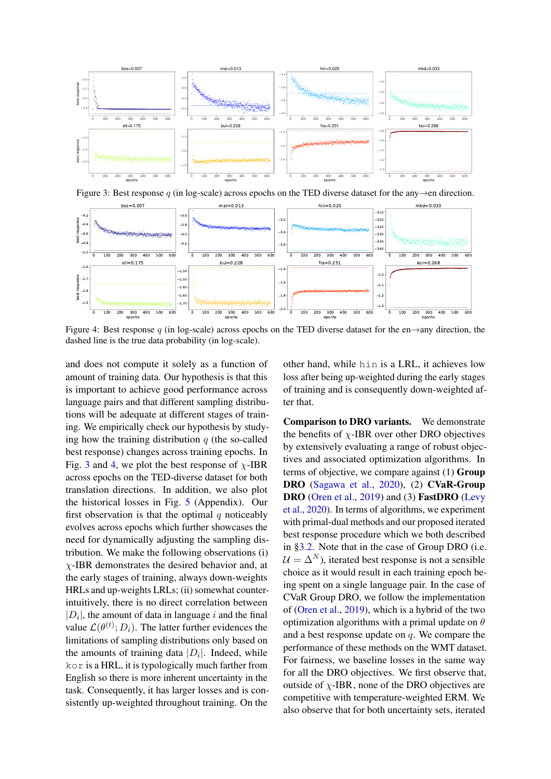<span id="page-7-0"></span>

Figure 3: Best response q (in log-scale) across epochs on the TED diverse dataset for the any $\rightarrow$ en direction.

<span id="page-7-1"></span>

Figure 4: Best response q (in log-scale) across epochs on the TED diverse dataset for the en $\rightarrow$ any direction, the dashed line is the true data probability (in log-scale).

and does not compute it solely as a function of amount of training data. Our hypothesis is that this is important to achieve good performance across language pairs and that different sampling distributions will be adequate at different stages of training. We empirically check our hypothesis by studying how the training distribution  $q$  (the so-called best response) changes across training epochs. In Fig. [3](#page-7-0) and [4,](#page-7-1) we plot the best response of  $\chi$ -IBR across epochs on the TED-diverse dataset for both translation directions. In addition, we also plot the historical losses in Fig. [5](#page-14-0) (Appendix). Our first observation is that the optimal  $q$  noticeably evolves across epochs which further showcases the need for dynamically adjusting the sampling distribution. We make the following observations (i)  $\chi$ -IBR demonstrates the desired behavior and, at the early stages of training, always down-weights HRLs and up-weights LRLs; (ii) somewhat counterintuitively, there is no direct correlation between  $|D_i|$ , the amount of data in language i and the final value  $\mathcal{L}(\theta^{(t)}; D_i)$ . The latter further evidences the limitations of sampling distributions only based on the amounts of training data  $|D_i|$ . Indeed, while kor is a HRL, it is typologically much farther from English so there is more inherent uncertainty in the task. Consequently, it has larger losses and is consistently up-weighted throughout training. On the

other hand, while hin is a LRL, it achieves low loss after being up-weighted during the early stages of training and is consequently down-weighted after that.

Comparison to DRO variants. We demonstrate the benefits of  $\chi$ -IBR over other DRO objectives by extensively evaluating a range of robust objectives and associated optimization algorithms. In terms of objective, we compare against (1) Group DRO [\(Sagawa et al.,](#page-10-5) [2020\)](#page-10-5), (2) CVaR-Group DRO [\(Oren et al.,](#page-9-9) [2019\)](#page-9-9) and (3) FastDRO [\(Levy](#page-9-10) [et al.,](#page-9-10) [2020\)](#page-9-10). In terms of algorithms, we experiment with primal-dual methods and our proposed iterated best response procedure which we both described in [§3.2.](#page-3-1) Note that in the case of Group DRO (i.e.  $U = \Delta^N$ , iterated best response is not a sensible choice as it would result in each training epoch being spent on a single language pair. In the case of CVaR Group DRO, we follow the implementation of [\(Oren et al.,](#page-9-9) [2019\)](#page-9-9), which is a hybrid of the two optimization algorithms with a primal update on  $\theta$ and a best response update on  $q$ . We compare the performance of these methods on the WMT dataset. For fairness, we baseline losses in the same way for all the DRO objectives. We first observe that, outside of  $\chi$ -IBR, none of the DRO objectives are competitive with temperature-weighted ERM. We also observe that for both uncertainty sets, iterated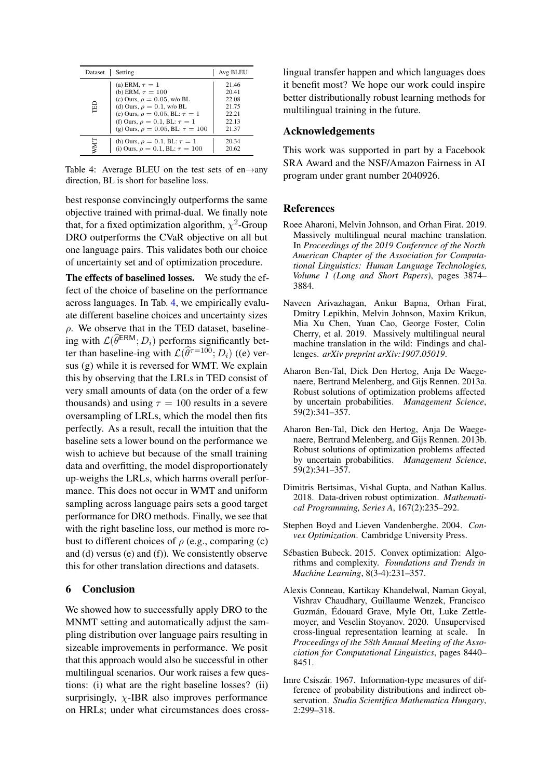<span id="page-8-8"></span>

| Dataset | Setting                                                                                                                                                                                                                                                  | Avg BLEU                                                    |
|---------|----------------------------------------------------------------------------------------------------------------------------------------------------------------------------------------------------------------------------------------------------------|-------------------------------------------------------------|
| ÊD      | (a) ERM, $\tau = 1$<br>(b) ERM, $\tau = 100$<br>(c) Ours, $\rho = 0.05$ , w/o BL<br>(d) Ours, $\rho = 0.1$ , w/o BL<br>(e) Ours, $\rho = 0.05$ , BL: $\tau = 1$<br>(f) Ours, $\rho = 0.1$ , BL: $\tau = 1$<br>(g) Ours, $\rho = 0.05$ , BL: $\tau = 100$ | 21.46<br>20.41<br>22.08<br>21.75<br>22.21<br>22.13<br>21 37 |
| NMT     | (h) Ours, $\rho = 0.1$ , BL: $\tau = 1$<br>(i) Ours, $\rho = 0.1$ , BL: $\tau = 100$                                                                                                                                                                     | 20.34<br>20.62                                              |

Table 4: Average BLEU on the test sets of en $\rightarrow$ any direction, BL is short for baseline loss.

best response convincingly outperforms the same objective trained with primal-dual. We finally note that, for a fixed optimization algorithm,  $\chi^2$ -Group DRO outperforms the CVaR objective on all but one language pairs. This validates both our choice of uncertainty set and of optimization procedure.

The effects of baselined losses. We study the effect of the choice of baseline on the performance across languages. In Tab. [4,](#page-8-8) we empirically evaluate different baseline choices and uncertainty sizes  $\rho$ . We observe that in the TED dataset, baselineing with  $\mathcal{L}(\widehat{\theta}^{ERM}; D_i)$  performs significantly better than baseline-ing with  $\mathcal{L}(\widehat{\theta}^{\tau=100}; D_i)$  ((e) versus (g) while it is reversed for WMT. We explain this by observing that the LRLs in TED consist of very small amounts of data (on the order of a few thousands) and using  $\tau = 100$  results in a severe oversampling of LRLs, which the model then fits perfectly. As a result, recall the intuition that the baseline sets a lower bound on the performance we wish to achieve but because of the small training data and overfitting, the model disproportionately up-weighs the LRLs, which harms overall performance. This does not occur in WMT and uniform sampling across language pairs sets a good target performance for DRO methods. Finally, we see that with the right baseline loss, our method is more robust to different choices of  $\rho$  (e.g., comparing (c) and (d) versus (e) and (f)). We consistently observe this for other translation directions and datasets.

## 6 Conclusion

We showed how to successfully apply DRO to the MNMT setting and automatically adjust the sampling distribution over language pairs resulting in sizeable improvements in performance. We posit that this approach would also be successful in other multilingual scenarios. Our work raises a few questions: (i) what are the right baseline losses? (ii) surprisingly,  $\chi$ -IBR also improves performance on HRLs; under what circumstances does crosslingual transfer happen and which languages does it benefit most? We hope our work could inspire better distributionally robust learning methods for multilingual training in the future.

## Acknowledgements

This work was supported in part by a Facebook SRA Award and the NSF/Amazon Fairness in AI program under grant number 2040926.

### References

- <span id="page-8-0"></span>Roee Aharoni, Melvin Johnson, and Orhan Firat. 2019. Massively multilingual neural machine translation. In *Proceedings of the 2019 Conference of the North American Chapter of the Association for Computational Linguistics: Human Language Technologies, Volume 1 (Long and Short Papers)*, pages 3874– 3884.
- <span id="page-8-2"></span>Naveen Arivazhagan, Ankur Bapna, Orhan Firat, Dmitry Lepikhin, Melvin Johnson, Maxim Krikun, Mia Xu Chen, Yuan Cao, George Foster, Colin Cherry, et al. 2019. Massively multilingual neural machine translation in the wild: Findings and challenges. *arXiv preprint arXiv:1907.05019*.
- <span id="page-8-3"></span>Aharon Ben-Tal, Dick Den Hertog, Anja De Waegenaere, Bertrand Melenberg, and Gijs Rennen. 2013a. Robust solutions of optimization problems affected by uncertain probabilities. *Management Science*, 59(2):341–357.
- <span id="page-8-4"></span>Aharon Ben-Tal, Dick den Hertog, Anja De Waegenaere, Bertrand Melenberg, and Gijs Rennen. 2013b. Robust solutions of optimization problems affected by uncertain probabilities. *Management Science*, 59(2):341–357.
- <span id="page-8-5"></span>Dimitris Bertsimas, Vishal Gupta, and Nathan Kallus. 2018. Data-driven robust optimization. *Mathematical Programming, Series A*, 167(2):235–292.
- <span id="page-8-7"></span>Stephen Boyd and Lieven Vandenberghe. 2004. *Convex Optimization*. Cambridge University Press.
- <span id="page-8-9"></span>Sébastien Bubeck. 2015. Convex optimization: Algorithms and complexity. *Foundations and Trends in Machine Learning*, 8(3-4):231–357.
- <span id="page-8-1"></span>Alexis Conneau, Kartikay Khandelwal, Naman Goyal, Vishrav Chaudhary, Guillaume Wenzek, Francisco Guzmán, Édouard Grave, Myle Ott, Luke Zettlemoyer, and Veselin Stoyanov. 2020. Unsupervised cross-lingual representation learning at scale. In *Proceedings of the 58th Annual Meeting of the Association for Computational Linguistics*, pages 8440– 8451.
- <span id="page-8-6"></span>Imre Csiszár. 1967. Information-type measures of difference of probability distributions and indirect observation. *Studia Scientifica Mathematica Hungary*, 2:299–318.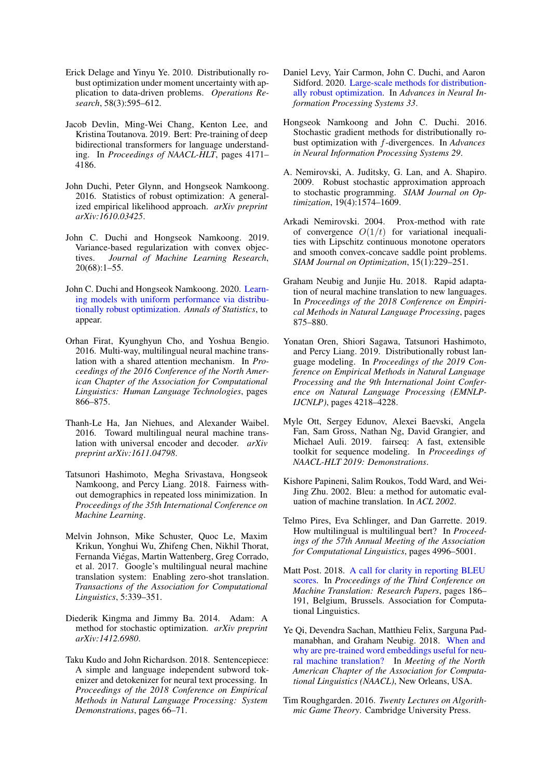- <span id="page-9-7"></span>Erick Delage and Yinyu Ye. 2010. Distributionally robust optimization under moment uncertainty with application to data-driven problems. *Operations Research*, 58(3):595–612.
- <span id="page-9-3"></span>Jacob Devlin, Ming-Wei Chang, Kenton Lee, and Kristina Toutanova. 2019. Bert: Pre-training of deep bidirectional transformers for language understanding. In *Proceedings of NAACL-HLT*, pages 4171– 4186.
- <span id="page-9-6"></span>John Duchi, Peter Glynn, and Hongseok Namkoong. 2016. Statistics of robust optimization: A generalized empirical likelihood approach. *arXiv preprint arXiv:1610.03425*.
- <span id="page-9-11"></span>John C. Duchi and Hongseok Namkoong. 2019. Variance-based regularization with convex objectives. *Journal of Machine Learning Research*, 20(68):1–55.
- <span id="page-9-12"></span>John C. Duchi and Hongseok Namkoong. 2020. [Learn](https://arXiv.org/abs/1810.08750)[ing models with uniform performance via distribu](https://arXiv.org/abs/1810.08750)[tionally robust optimization.](https://arXiv.org/abs/1810.08750) *Annals of Statistics*, to appear.
- <span id="page-9-0"></span>Orhan Firat, Kyunghyun Cho, and Yoshua Bengio. 2016. Multi-way, multilingual neural machine translation with a shared attention mechanism. In *Proceedings of the 2016 Conference of the North American Chapter of the Association for Computational Linguistics: Human Language Technologies*, pages 866–875.
- <span id="page-9-1"></span>Thanh-Le Ha, Jan Niehues, and Alexander Waibel. 2016. Toward multilingual neural machine translation with universal encoder and decoder. *arXiv preprint arXiv:1611.04798*.
- <span id="page-9-8"></span>Tatsunori Hashimoto, Megha Srivastava, Hongseok Namkoong, and Percy Liang. 2018. Fairness without demographics in repeated loss minimization. In *Proceedings of the 35th International Conference on Machine Learning*.
- <span id="page-9-2"></span>Melvin Johnson, Mike Schuster, Quoc Le, Maxim Krikun, Yonghui Wu, Zhifeng Chen, Nikhil Thorat, Fernanda Viégas, Martin Wattenberg, Greg Corrado, et al. 2017. Google's multilingual neural machine translation system: Enabling zero-shot translation. *Transactions of the Association for Computational Linguistics*, 5:339–351.
- <span id="page-9-22"></span>Diederik Kingma and Jimmy Ba. 2014. Adam: A method for stochastic optimization. *arXiv preprint arXiv:1412.6980*.
- <span id="page-9-17"></span>Taku Kudo and John Richardson. 2018. Sentencepiece: A simple and language independent subword tokenizer and detokenizer for neural text processing. In *Proceedings of the 2018 Conference on Empirical Methods in Natural Language Processing: System Demonstrations*, pages 66–71.
- <span id="page-9-10"></span>Daniel Levy, Yair Carmon, John C. Duchi, and Aaron Sidford. 2020. [Large-scale methods for distribution](https://arxiv.org/abs/2010.05893)[ally robust optimization.](https://arxiv.org/abs/2010.05893) In *Advances in Neural Information Processing Systems 33*.
- <span id="page-9-21"></span>Hongseok Namkoong and John C. Duchi. 2016. Stochastic gradient methods for distributionally robust optimization with f-divergences. In *Advances in Neural Information Processing Systems 29*.
- <span id="page-9-13"></span>A. Nemirovski, A. Juditsky, G. Lan, and A. Shapiro. 2009. Robust stochastic approximation approach to stochastic programming. *SIAM Journal on Optimization*, 19(4):1574–1609.
- <span id="page-9-20"></span>Arkadi Nemirovski. 2004. Prox-method with rate of convergence  $O(1/t)$  for variational inequalities with Lipschitz continuous monotone operators and smooth convex-concave saddle point problems. *SIAM Journal on Optimization*, 15(1):229–251.
- <span id="page-9-4"></span>Graham Neubig and Junjie Hu. 2018. Rapid adaptation of neural machine translation to new languages. In *Proceedings of the 2018 Conference on Empirical Methods in Natural Language Processing*, pages 875–880.
- <span id="page-9-9"></span>Yonatan Oren, Shiori Sagawa, Tatsunori Hashimoto, and Percy Liang. 2019. Distributionally robust language modeling. In *Proceedings of the 2019 Conference on Empirical Methods in Natural Language Processing and the 9th International Joint Conference on Natural Language Processing (EMNLP-IJCNLP)*, pages 4218–4228.
- <span id="page-9-16"></span>Myle Ott, Sergey Edunov, Alexei Baevski, Angela Fan, Sam Gross, Nathan Ng, David Grangier, and Michael Auli. 2019. fairseq: A fast, extensible toolkit for sequence modeling. In *Proceedings of NAACL-HLT 2019: Demonstrations*.
- <span id="page-9-19"></span>Kishore Papineni, Salim Roukos, Todd Ward, and Wei-Jing Zhu. 2002. Bleu: a method for automatic evaluation of machine translation. In *ACL 2002*.
- <span id="page-9-5"></span>Telmo Pires, Eva Schlinger, and Dan Garrette. 2019. How multilingual is multilingual bert? In *Proceedings of the 57th Annual Meeting of the Association for Computational Linguistics*, pages 4996–5001.
- <span id="page-9-18"></span>Matt Post. 2018. [A call for clarity in reporting BLEU](https://www.aclweb.org/anthology/W18-6319) [scores.](https://www.aclweb.org/anthology/W18-6319) In *Proceedings of the Third Conference on Machine Translation: Research Papers*, pages 186– 191, Belgium, Brussels. Association for Computational Linguistics.
- <span id="page-9-15"></span>Ye Qi, Devendra Sachan, Matthieu Felix, Sarguna Padmanabhan, and Graham Neubig. 2018. [When and](https://arxiv.org/pdf/1804.06323.pdf) [why are pre-trained word embeddings useful for neu](https://arxiv.org/pdf/1804.06323.pdf)[ral machine translation?](https://arxiv.org/pdf/1804.06323.pdf) In *Meeting of the North American Chapter of the Association for Computational Linguistics (NAACL)*, New Orleans, USA.
- <span id="page-9-14"></span>Tim Roughgarden. 2016. *Twenty Lectures on Algorithmic Game Theory*. Cambridge University Press.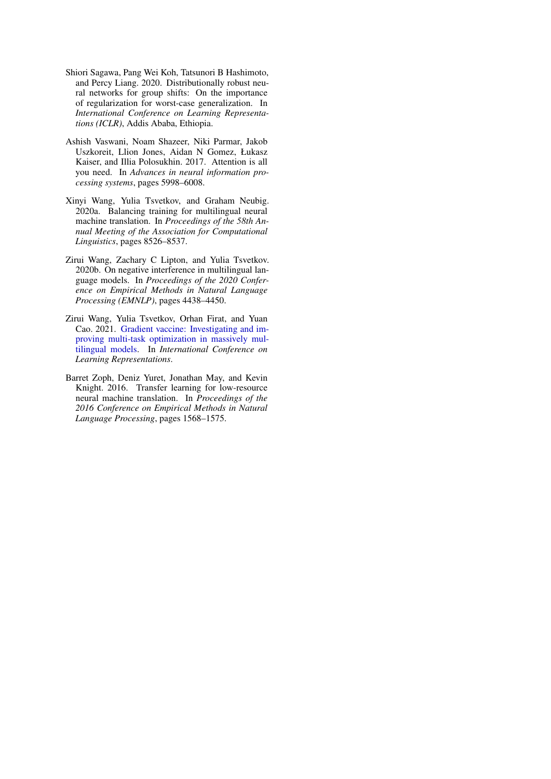- <span id="page-10-5"></span>Shiori Sagawa, Pang Wei Koh, Tatsunori B Hashimoto, and Percy Liang. 2020. Distributionally robust neural networks for group shifts: On the importance of regularization for worst-case generalization. In *International Conference on Learning Representations (ICLR)*, Addis Ababa, Ethiopia.
- <span id="page-10-4"></span>Ashish Vaswani, Noam Shazeer, Niki Parmar, Jakob Uszkoreit, Llion Jones, Aidan N Gomez, Łukasz Kaiser, and Illia Polosukhin. 2017. Attention is all you need. In *Advances in neural information processing systems*, pages 5998–6008.
- <span id="page-10-3"></span>Xinyi Wang, Yulia Tsvetkov, and Graham Neubig. 2020a. Balancing training for multilingual neural machine translation. In *Proceedings of the 58th Annual Meeting of the Association for Computational Linguistics*, pages 8526–8537.
- <span id="page-10-1"></span>Zirui Wang, Zachary C Lipton, and Yulia Tsvetkov. 2020b. On negative interference in multilingual language models. In *Proceedings of the 2020 Conference on Empirical Methods in Natural Language Processing (EMNLP)*, pages 4438–4450.
- <span id="page-10-2"></span>Zirui Wang, Yulia Tsvetkov, Orhan Firat, and Yuan Cao. 2021. [Gradient vaccine: Investigating and im](https://openreview.net/forum?id=F1vEjWK-lH_)[proving multi-task optimization in massively mul](https://openreview.net/forum?id=F1vEjWK-lH_)[tilingual models.](https://openreview.net/forum?id=F1vEjWK-lH_) In *International Conference on Learning Representations*.
- <span id="page-10-0"></span>Barret Zoph, Deniz Yuret, Jonathan May, and Kevin Knight. 2016. Transfer learning for low-resource neural machine translation. In *Proceedings of the 2016 Conference on Empirical Methods in Natural Language Processing*, pages 1568–1575.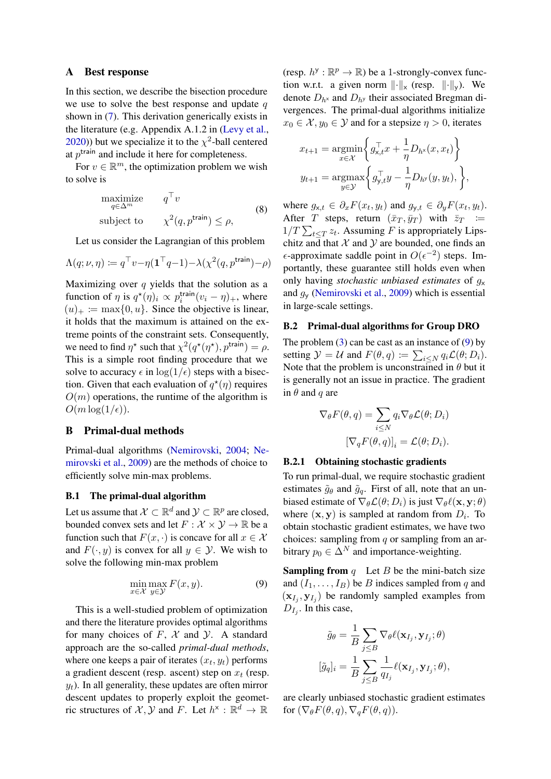### <span id="page-11-1"></span>A Best response

In this section, we describe the bisection procedure we use to solve the best response and update  $q$ shown in [\(7\)](#page-4-1). This derivation generically exists in the literature (e.g. Appendix A.1.2 in [\(Levy et al.,](#page-9-10) [2020\)](#page-9-10)) but we specialize it to the  $\chi^2$ -ball centered at  $p^{\text{train}}$  and include it here for completeness.

For  $v \in \mathbb{R}^m$ , the optimization problem we wish to solve is

$$
\begin{array}{ll}\text{maximize} & q^\top v\\ \text{subject to} & \chi^2(q, p^{\text{train}}) \le \rho, \end{array} \tag{8}
$$

Let us consider the Lagrangian of this problem

$$
\Lambda(q; \nu, \eta) := q^{\top} v - \eta (\mathbf{1}^{\top} q - 1) - \lambda(\chi^2(q, p^{\text{train}}) - \rho)
$$

Maximizing over  $q$  yields that the solution as a function of  $\eta$  is  $q^*(\eta)_i \propto p_i^{\text{train}}(v_i - \eta)_+$ , where  $(u)_+ := \max\{0, u\}.$  Since the objective is linear, it holds that the maximum is attained on the extreme points of the constraint sets. Consequently, we need to find  $\eta^*$  such that  $\chi^2(q^*(\eta^*), p^{\text{train}}) = \rho$ . This is a simple root finding procedure that we solve to accuracy  $\epsilon$  in  $\log(1/\epsilon)$  steps with a bisection. Given that each evaluation of  $q^*(\eta)$  requires  $O(m)$  operations, the runtime of the algorithm is  $O(m \log(1/\epsilon)).$ 

## <span id="page-11-0"></span>B Primal-dual methods

Primal-dual algorithms [\(Nemirovski,](#page-9-20) [2004;](#page-9-20) [Ne](#page-9-13)[mirovski et al.,](#page-9-13) [2009\)](#page-9-13) are the methods of choice to efficiently solve min-max problems.

## B.1 The primal-dual algorithm

Let us assume that  $\mathcal{X} \subset \mathbb{R}^d$  and  $\mathcal{Y} \subset \mathbb{R}^p$  are closed, bounded convex sets and let  $F : \mathcal{X} \times \mathcal{Y} \to \mathbb{R}$  be a function such that  $F(x, \cdot)$  is concave for all  $x \in \mathcal{X}$ and  $F(\cdot, y)$  is convex for all  $y \in \mathcal{Y}$ . We wish to solve the following min-max problem

$$
\min_{x \in \mathcal{X}} \max_{y \in \mathcal{Y}} F(x, y). \tag{9}
$$

This is a well-studied problem of optimization and there the literature provides optimal algorithms for many choices of  $F$ ,  $X$  and  $Y$ . A standard approach are the so-called *primal-dual methods*, where one keeps a pair of iterates  $(x_t, y_t)$  performs a gradient descent (resp. ascent) step on  $x_t$  (resp.  $y_t$ ). In all generality, these updates are often mirror descent updates to properly exploit the geometric structures of  $\mathcal{X}, \mathcal{Y}$  and F. Let  $h^* : \mathbb{R}^d \to \mathbb{R}$ 

(resp.  $h^y : \mathbb{R}^p \to \mathbb{R}$ ) be a 1-strongly-convex function w.r.t. a given norm  $\|\cdot\|_{\times}$  (resp.  $\|\cdot\|_{\vee}$ ). We denote  $D_{h^x}$  and  $D_{h^y}$  their associated Bregman divergences. The primal-dual algorithms initialize  $x_0 \in \mathcal{X}, y_0 \in \mathcal{Y}$  and for a stepsize  $\eta > 0$ , iterates

$$
x_{t+1} = \underset{x \in \mathcal{X}}{\operatorname{argmin}} \left\{ g_{x,t}^{\top} x + \frac{1}{\eta} D_{h^x}(x, x_t) \right\}
$$

$$
y_{t+1} = \underset{y \in \mathcal{Y}}{\operatorname{argmax}} \left\{ g_{y,t}^{\top} y - \frac{1}{\eta} D_{h^y}(y, y_t), \right\},
$$

where  $g_{x,t} \in \partial_x F(x_t, y_t)$  and  $g_{y,t} \in \partial_y F(x_t, y_t)$ . After T steps, return  $(\bar{x}_T, \bar{y}_T)$  with  $\bar{z}_T :=$  $1/T \sum_{t \leq T} z_t$ . Assuming F is appropriately Lipschitz and that  $X$  and  $Y$  are bounded, one finds an  $\epsilon$ -approximate saddle point in  $O(\epsilon^{-2})$  steps. Importantly, these guarantee still holds even when only having *stochastic unbiased estimates* of g<sup>x</sup> and  $g_y$  [\(Nemirovski et al.,](#page-9-13) [2009\)](#page-9-13) which is essential in large-scale settings.

### B.2 Primal-dual algorithms for Group DRO

The problem  $(3)$  can be cast as an instance of  $(9)$  by setting  $\mathcal{Y} = \mathcal{U}$  and  $F(\theta, q) \coloneqq \sum_{i \leq N} q_i \mathcal{L}(\theta; D_i)$ . Note that the problem is unconstrained in  $\theta$  but it is generally not an issue in practice. The gradient in  $\theta$  and q are

$$
\nabla_{\theta} F(\theta, q) = \sum_{i \leq N} q_i \nabla_{\theta} \mathcal{L}(\theta; D_i)
$$

$$
[\nabla_q F(\theta, q)]_i = \mathcal{L}(\theta; D_i).
$$

#### B.2.1 Obtaining stochastic gradients

To run primal-dual, we require stochastic gradient estimates  $\tilde{g}_{\theta}$  and  $\tilde{g}_{q}$ . First of all, note that an unbiased estimate of  $\nabla_{\theta} \mathcal{L}(\theta; D_i)$  is just  $\nabla_{\theta} \ell(\mathbf{x}, \mathbf{y}; \theta)$ where  $(x, y)$  is sampled at random from  $D_i$ . To obtain stochastic gradient estimates, we have two choices: sampling from  $q$  or sampling from an arbitrary  $p_0 \in \Delta^N$  and importance-weighting.

<span id="page-11-2"></span>**Sampling from**  $q$  Let  $B$  be the mini-batch size and  $(I_1, \ldots, I_B)$  be B indices sampled from q and  $(\mathbf{x}_{I_j}, \mathbf{y}_{I_j})$  be randomly sampled examples from  $D_{I_j}$ . In this case,

$$
\tilde{g}_{\theta} = \frac{1}{B} \sum_{j \leq B} \nabla_{\theta} \ell(\mathbf{x}_{I_j}, \mathbf{y}_{I_j}; \theta)
$$

$$
[\tilde{g}_q]_i = \frac{1}{B} \sum_{j \leq B} \frac{1}{q_{I_j}} \ell(\mathbf{x}_{I_j}, \mathbf{y}_{I_j}; \theta),
$$

are clearly unbiased stochastic gradient estimates for  $(\nabla_{\theta} F(\theta, q), \nabla_{q} F(\theta, q)).$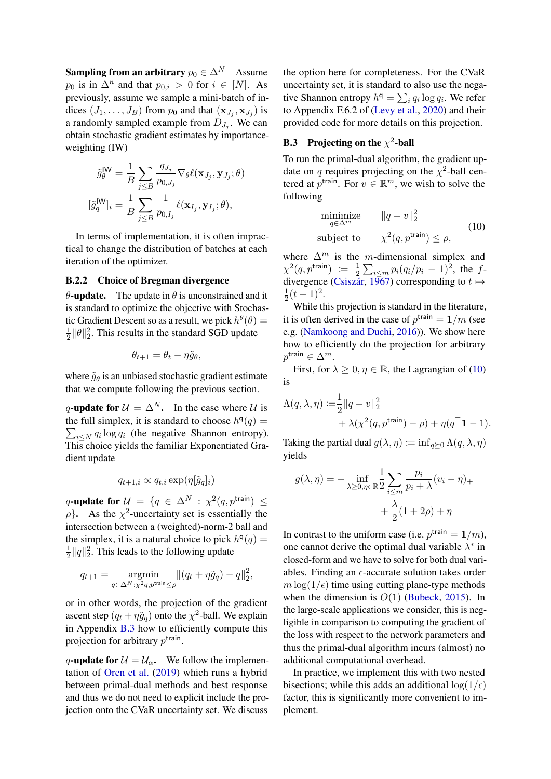**Sampling from an arbitrary**  $p_0 \in \Delta^N$  Assume  $p_0$  is in  $\Delta^n$  and that  $p_{0,i} > 0$  for  $i \in [N]$ . As previously, assume we sample a mini-batch of indices  $(J_1, \ldots, J_B)$  from  $p_0$  and that  $(\mathbf{x}_{J_j}, \mathbf{x}_{J_j})$  is a randomly sampled example from  $D_{J_j}$ . We can obtain stochastic gradient estimates by importanceweighting (IW)

$$
\tilde{g}_{\theta}^{\mathsf{IW}} = \frac{1}{B} \sum_{j \leq B} \frac{q_{J_j}}{p_{0,J_j}} \nabla_{\theta} \ell(\mathbf{x}_{J_j}, \mathbf{y}_{J_j}; \theta)
$$

$$
[\tilde{g}_q^{\mathsf{IW}}]_i = \frac{1}{B} \sum_{j \leq B} \frac{1}{p_{0,I_j}} \ell(\mathbf{x}_{I_j}, \mathbf{y}_{I_j}; \theta),
$$

In terms of implementation, it is often impractical to change the distribution of batches at each iteration of the optimizer.

## B.2.2 Choice of Bregman divergence

 $\theta$ -update. The update in  $\theta$  is unconstrained and it is standard to optimize the objective with Stochastic Gradient Descent so as a result, we pick  $h^{\theta}(\theta) =$ 1  $\frac{1}{2} ||\theta||_2^2$ . This results in the standard SGD update

$$
\theta_{t+1} = \theta_t - \eta \tilde{g}_{\theta},
$$

where  $\tilde{g}_{\theta}$  is an unbiased stochastic gradient estimate that we compute following the previous section.

q-update for  $\mathcal{U} = \Delta^N$ . In the case where U is the full simplex, it is standard to choose  $h^{q}(q) =$  $\sum_{i \leq N} q_i \log q_i$  (the negative Shannon entropy). This choice yields the familiar Exponentiated Gradient update

$$
q_{t+1,i} \propto q_{t,i} \exp(\eta[\tilde{g}_q]_i)
$$

q-update for  $\mathcal{U} = \{q \in \Delta^N : \chi^2(q, p^{\text{train}}) \leq$  $\rho$ }. As the  $\chi^2$ -uncertainty set is essentially the intersection between a (weighted)-norm-2 ball and the simplex, it is a natural choice to pick  $h^{q}(q) =$ 1  $\frac{1}{2} ||q||_2^2$ . This leads to the following update

$$
q_{t+1} = \operatorname*{argmin}_{q \in \Delta^N : \chi^2 q, p^{\text{train}} \leq \rho} \left\| (q_t + \eta \tilde{g}_q) - q \right\|_2^2,
$$

or in other words, the projection of the gradient ascent step  $(q_t + \eta \tilde{g}_q)$  onto the  $\chi^2$ -ball. We explain in Appendix [B.3](#page-12-0) how to efficiently compute this projection for arbitrary  $p^{\text{train}}$ .

q-update for  $\mathcal{U} = \mathcal{U}_{\alpha}$ . We follow the implementation of [Oren et al.](#page-9-9) [\(2019\)](#page-9-9) which runs a hybrid between primal-dual methods and best response and thus we do not need to explicit include the projection onto the CVaR uncertainty set. We discuss

the option here for completeness. For the CVaR uncertainty set, it is standard to also use the negative Shannon entropy  $h^{\mathsf{q}} = \sum_i q_i \log q_i$ . We refer to Appendix F.6.2 of [\(Levy et al.,](#page-9-10) [2020\)](#page-9-10) and their provided code for more details on this projection.

# <span id="page-12-0"></span>**B.3** Projecting on the  $\chi^2$ -ball

To run the primal-dual algorithm, the gradient update on q requires projecting on the  $\chi^2$ -ball centered at  $p^{\text{train}}$ . For  $v \in \mathbb{R}^m$ , we wish to solve the following

<span id="page-12-1"></span>
$$
\begin{array}{ll}\text{minimize} & \|q - v\|_2^2\\ \text{subject to} & \chi^2(q, p^{\text{train}}) \le \rho, \end{array} \tag{10}
$$

where  $\Delta^m$  is the m-dimensional simplex and  $\chi^2(q, p^{\text{train}}) := \frac{1}{2}$  $\frac{1}{2} \sum_{i \le m} p_i (q_i/p_i - 1)^2$ , the f-divergence [\(Csiszár,](#page-8-6) [1967\)](#page-8-6) corresponding to  $t \mapsto$ 1  $\frac{1}{2}(t-1)^2$ .

While this projection is standard in the literature, it is often derived in the case of  $p^{\text{train}} = 1/m$  (see e.g. [\(Namkoong and Duchi,](#page-9-21) [2016\)](#page-9-21)). We show here how to efficiently do the projection for arbitrary  $p^{\mathsf{train}} \in \Delta^m$ .

First, for  $\lambda \geq 0, \eta \in \mathbb{R}$ , the Lagrangian of [\(10\)](#page-12-1) is

$$
\Lambda(q, \lambda, \eta) := \frac{1}{2} ||q - v||_2^2
$$
  
+ 
$$
\lambda(\chi^2(q, p^{\text{train}}) - \rho) + \eta(q^{\top} \mathbf{1} - 1).
$$

Taking the partial dual  $g(\lambda, \eta) := \inf_{\alpha \succ 0} \Lambda(q, \lambda, \eta)$ yields

$$
g(\lambda, \eta) = -\inf_{\lambda \ge 0, \eta \in \mathbb{R}} \frac{1}{2} \sum_{i \le m} \frac{p_i}{p_i + \lambda} (v_i - \eta)_+ + \frac{\lambda}{2} (1 + 2\rho) + \eta
$$

In contrast to the uniform case (i.e.  $p^{\text{train}} = 1/m$ ), one cannot derive the optimal dual variable  $\lambda^*$  in closed-form and we have to solve for both dual variables. Finding an  $\epsilon$ -accurate solution takes order  $m \log(1/\epsilon)$  time using cutting plane-type methods when the dimension is  $O(1)$  [\(Bubeck,](#page-8-9) [2015\)](#page-8-9). In the large-scale applications we consider, this is negligible in comparison to computing the gradient of the loss with respect to the network parameters and thus the primal-dual algorithm incurs (almost) no additional computational overhead.

In practice, we implement this with two nested bisections; while this adds an additional  $\log(1/\epsilon)$ factor, this is significantly more convenient to implement.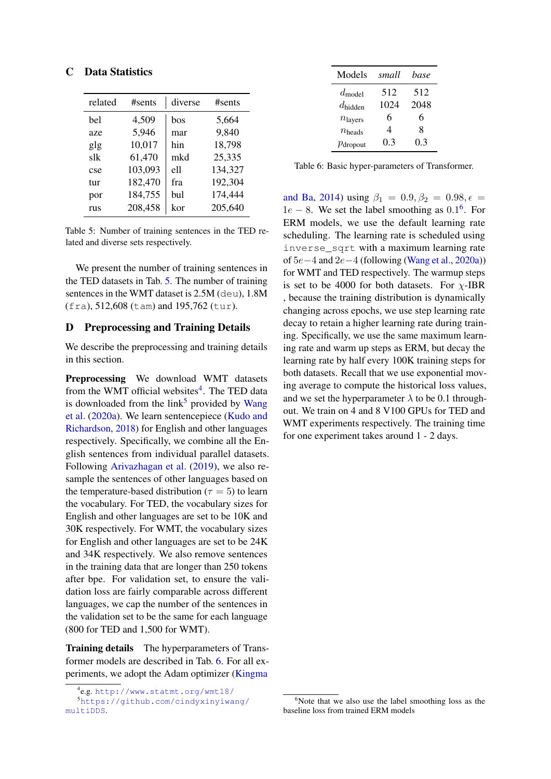<span id="page-13-0"></span>

<span id="page-13-2"></span>

| related | #sents  | diverse | #sents  |
|---------|---------|---------|---------|
| hel     | 4,509   | bos     | 5,664   |
| aze     | 5,946   | mar     | 9,840   |
| glg     | 10,017  | hin     | 18,798  |
| slk     | 61,470  | mkd     | 25,335  |
| cse     | 103,093 | e11     | 134,327 |
| tur     | 182,470 | fra     | 192,304 |
| por     | 184,755 | bul     | 174,444 |
| rus     | 208,458 | kor     | 205,640 |

Table 5: Number of training sentences in the TED related and diverse sets respectively.

We present the number of training sentences in the TED datasets in Tab. [5.](#page-13-2) The number of training sentences in the WMT dataset is 2.5M (deu), 1.8M (fra), 512,608 (tam) and 195,762 (tur).

## <span id="page-13-1"></span>D Preprocessing and Training Details

We describe the preprocessing and training details in this section.

Preprocessing We download WMT datasets from the WMT official websites<sup>[4](#page-13-3)</sup>. The TED data is downloaded from the  $link^5$  $link^5$  provided by [Wang](#page-10-3) [et al.](#page-10-3) [\(2020a\)](#page-10-3). We learn sentencepiece [\(Kudo and](#page-9-17) [Richardson,](#page-9-17) [2018\)](#page-9-17) for English and other languages respectively. Specifically, we combine all the English sentences from individual parallel datasets. Following [Arivazhagan et al.](#page-8-2) [\(2019\)](#page-8-2), we also resample the sentences of other languages based on the temperature-based distribution ( $\tau = 5$ ) to learn the vocabulary. For TED, the vocabulary sizes for English and other languages are set to be 10K and 30K respectively. For WMT, the vocabulary sizes for English and other languages are set to be 24K and 34K respectively. We also remove sentences in the training data that are longer than 250 tokens after bpe. For validation set, to ensure the validation loss are fairly comparable across different languages, we cap the number of the sentences in the validation set to be the same for each language (800 for TED and 1,500 for WMT).

Training details The hyperparameters of Transformer models are described in Tab. [6.](#page-13-5) For all experiments, we adopt the Adam optimizer [\(Kingma](#page-9-22)

<span id="page-13-5"></span>

| Models               | small | base |
|----------------------|-------|------|
| $d_{\text{model}}$   | 512   | 512  |
| $d_{\text{hidden}}$  | 1024  | 2048 |
| $n_{\text{layers}}$  | 6     | 6    |
| $n_{\text{heads}}$   | 4     | 8    |
| $p_{\text{dropout}}$ | 0.3   | 0.3  |

Table 6: Basic hyper-parameters of Transformer.

[and Ba,](#page-9-22) [2014\)](#page-9-22) using  $\beta_1 = 0.9, \beta_2 = 0.98, \epsilon =$  $1e - 8$ . We set the label smoothing as  $0.1<sup>6</sup>$  $0.1<sup>6</sup>$  $0.1<sup>6</sup>$ . For ERM models, we use the default learning rate scheduling. The learning rate is scheduled using inverse\_sqrt with a maximum learning rate of 5e−4 and 2e−4 (following [\(Wang et al.,](#page-10-3) [2020a\)](#page-10-3)) for WMT and TED respectively. The warmup steps is set to be 4000 for both datasets. For  $\chi$ -IBR , because the training distribution is dynamically changing across epochs, we use step learning rate decay to retain a higher learning rate during training. Specifically, we use the same maximum learning rate and warm up steps as ERM, but decay the learning rate by half every 100K training steps for both datasets. Recall that we use exponential moving average to compute the historical loss values, and we set the hyperparameter  $\lambda$  to be 0.1 throughout. We train on 4 and 8 V100 GPUs for TED and WMT experiments respectively. The training time for one experiment takes around 1 - 2 days.

<span id="page-13-4"></span><span id="page-13-3"></span><sup>4</sup> e.g. [http://www.statmt.org/wmt18/](#page-9-22)

<sup>5</sup>[https://github.com/cindyxinyiwang/](#page-9-22) [multiDDS](#page-9-22).

<span id="page-13-6"></span> $6$ Note that we also use the label smoothing loss as the baseline loss from trained ERM models